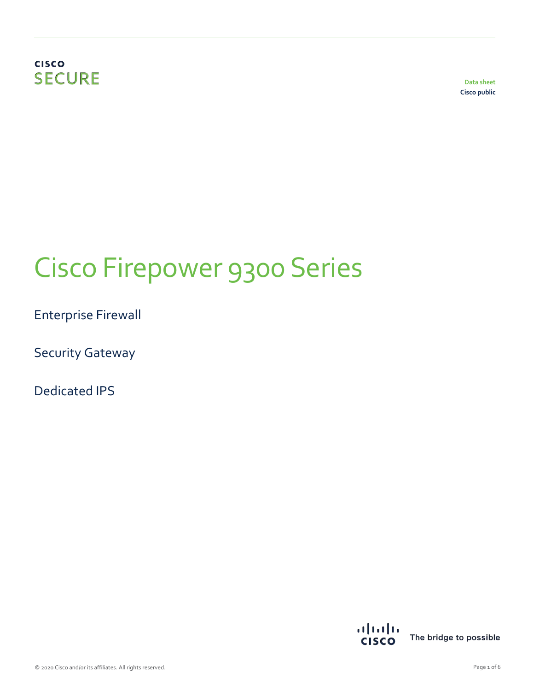## **CISCO SECURE**

**Data sheet Cisco public**

# Cisco Firepower 9300 Series

Enterprise Firewall

Security Gateway

Dedicated IPS

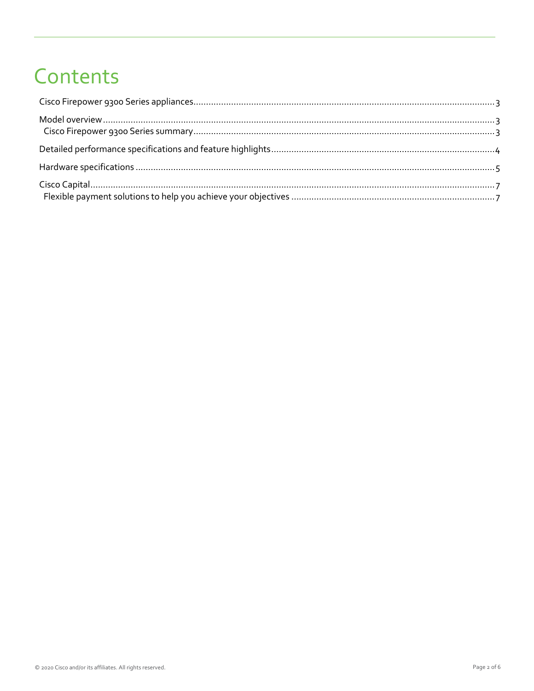## Contents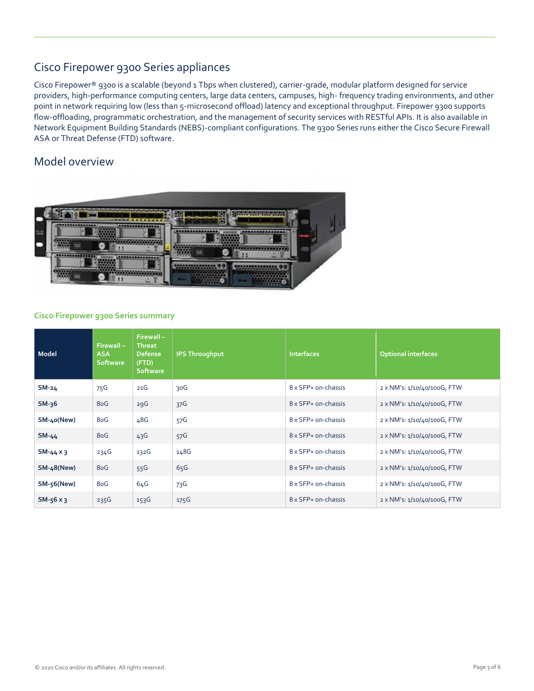## Cisco Firepower 9300 Series appliances

Cisco Firepower® 9300 is a scalable (beyond 1 Tbps when clustered), carrier-grade, modular platform designed for service providers, high-performance computing centers, large data centers, campuses, high- frequency trading environments, and other point in network requiring low (less than 5-microsecond offload) latency and exceptional throughput. Firepower 9300 supports flow-offloading, programmatic orchestration, and the management of security services with RESTful APIs. It is also available in Network Equipment Building Standards (NEBS)-compliant configurations. The 9300 Series runs either the Cisco Secure Firewall ASA or Threat Defense (FTD) software.

### Model overview



#### **Cisco Firepower 9300 Series summary**

| Model             | $Firewall -$<br><b>ASA</b><br><b>Software</b> | Firewall-<br><b>Threat</b><br><b>Defense</b><br>(FTD)<br><b>Software</b> | <b>IPS Throughput</b> | <b>Interfaces</b>   | <b>Optional interfaces</b>  |
|-------------------|-----------------------------------------------|--------------------------------------------------------------------------|-----------------------|---------------------|-----------------------------|
| $SM-24$           | 75G                                           | 21G                                                                      | 30G                   | 8 x SFP+ on-chassis | 2 x NM's: 1/10/40/100G, FTW |
| $SM-36$           | 8oG                                           | 29G                                                                      | 37 <sup>6</sup>       | 8 x SFP+ on-chassis | 2 x NM's: 1/10/40/100G, FTW |
| SM-40(New)        | 8oG                                           | 48G                                                                      | 57G                   | 8 x SFP+ on-chassis | 2 x NM's: 1/10/40/100G, FTW |
| $SM-44$           | 8oG                                           | 43G                                                                      | 57G                   | 8 x SFP+ on-chassis | 2 x NM's: 1/10/40/100G, FTW |
| $SM-44 \times 3$  | 234G                                          | 132G                                                                     | 148G                  | 8 x SFP+ on-chassis | 2 x NM's: 1/10/40/100G, FTW |
| <b>SM-48(New)</b> | 8oG                                           | 55G                                                                      | 65G                   | 8 x SFP+ on-chassis | 2 x NM's: 1/10/40/100G, FTW |
| $SM-56$ (New)     | 8oG                                           | 64G                                                                      | 73G                   | 8 x SFP+ on-chassis | 2 x NM's: 1/10/40/100G, FTW |
| $SM-56x3$         | 235G                                          | 153G                                                                     | 175G                  | 8 x SFP+ on-chassis | 2 x NM's: 1/10/40/100G, FTW |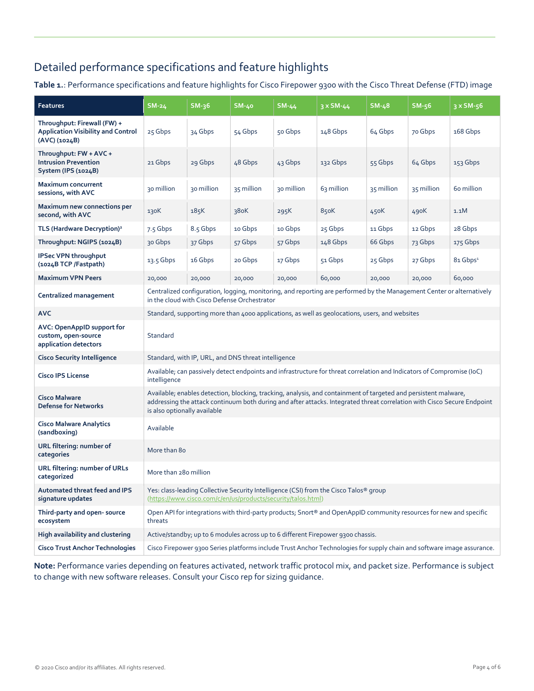## Detailed performance specifications and feature highlights

**Table 1.**: Performance specifications and feature highlights for Cisco Firepower 9300 with the Cisco Threat Defense (FTD) image

| <b>Features</b>                                                                           | $SM-24$                                                                                                                                                                                                                                                                    | $SM-36$    | $SM-40$    | SM-44      | 3 x SM-44  | $SM-48$    | $SM-56$    | $3 \times SM-56$     |
|-------------------------------------------------------------------------------------------|----------------------------------------------------------------------------------------------------------------------------------------------------------------------------------------------------------------------------------------------------------------------------|------------|------------|------------|------------|------------|------------|----------------------|
| Throughput: Firewall (FW) +<br><b>Application Visibility and Control</b><br>(AVC) (1024B) | 25 Gbps                                                                                                                                                                                                                                                                    | 34 Gbps    | 54 Gbps    | 50 Gbps    | 148 Gbps   | 64 Gbps    | 70 Gbps    | 168 Gbps             |
| Throughput: FW + AVC +<br><b>Intrusion Prevention</b><br>System (IPS (1024B)              | 21 Gbps                                                                                                                                                                                                                                                                    | 29 Gbps    | 48 Gbps    | 43 Gbps    | 132 Gbps   | 55 Gbps    | 64 Gbps    | 153 Gbps             |
| <b>Maximum concurrent</b><br>sessions, with AVC                                           | 30 million                                                                                                                                                                                                                                                                 | 30 million | 35 million | 30 million | 63 million | 35 million | 35 million | 60 million           |
| Maximum new connections per<br>second, with AVC                                           | 130K                                                                                                                                                                                                                                                                       | 185K       | 38oK       | 295K       | 85oK       | 450K       | 490K       | 1.1M                 |
| TLS (Hardware Decryption) <sup>2</sup>                                                    | 7.5 Gbps                                                                                                                                                                                                                                                                   | 8.5 Gbps   | 10 Gbps    | 10 Gbps    | 25 Gbps    | 11 Gbps    | 12 Gbps    | 28 Gbps              |
| Throughput: NGIPS (1024B)                                                                 | 30 Gbps                                                                                                                                                                                                                                                                    | 37 Gbps    | 57 Gbps    | 57 Gbps    | 148 Gbps   | 66 Gbps    | 73 Gbps    | 175 Gbps             |
| <b>IPSec VPN throughput</b><br>(1024B TCP /Fastpath)                                      | $13.5$ Gbps                                                                                                                                                                                                                                                                | 16 Gbps    | 20 Gbps    | 17 Gbps    | 51 Gbps    | 25 Gbps    | 27 Gbps    | 81 Gbps <sup>1</sup> |
| <b>Maximum VPN Peers</b>                                                                  | 20,000                                                                                                                                                                                                                                                                     | 20,000     | 20,000     | 20,000     | 60,000     | 20,000     | 20,000     | 60,000               |
| Centralized management                                                                    | Centralized configuration, logging, monitoring, and reporting are performed by the Management Center or alternatively<br>in the cloud with Cisco Defense Orchestrator                                                                                                      |            |            |            |            |            |            |                      |
| <b>AVC</b>                                                                                | Standard, supporting more than 4000 applications, as well as geolocations, users, and websites                                                                                                                                                                             |            |            |            |            |            |            |                      |
| AVC: OpenAppID support for<br>custom, open-source<br>application detectors                | Standard                                                                                                                                                                                                                                                                   |            |            |            |            |            |            |                      |
| <b>Cisco Security Intelligence</b>                                                        | Standard, with IP, URL, and DNS threat intelligence                                                                                                                                                                                                                        |            |            |            |            |            |            |                      |
| <b>Cisco IPS License</b>                                                                  | Available; can passively detect endpoints and infrastructure for threat correlation and Indicators of Compromise (IoC)<br>intelligence                                                                                                                                     |            |            |            |            |            |            |                      |
| <b>Cisco Malware</b><br><b>Defense for Networks</b>                                       | Available; enables detection, blocking, tracking, analysis, and containment of targeted and persistent malware,<br>addressing the attack continuum both during and after attacks. Integrated threat correlation with Cisco Secure Endpoint<br>is also optionally available |            |            |            |            |            |            |                      |
| <b>Cisco Malware Analytics</b><br>(sandboxing)                                            | Available                                                                                                                                                                                                                                                                  |            |            |            |            |            |            |                      |
| URL filtering: number of<br>categories                                                    | More than 80                                                                                                                                                                                                                                                               |            |            |            |            |            |            |                      |
| URL filtering: number of URLs<br>categorized                                              | More than 280 million                                                                                                                                                                                                                                                      |            |            |            |            |            |            |                      |
| <b>Automated threat feed and IPS</b><br>signature updates                                 | Yes: class-leading Collective Security Intelligence (CSI) from the Cisco Talos <sup>®</sup> group<br>(https://www.cisco.com/c/en/us/products/security/talos.html)                                                                                                          |            |            |            |            |            |            |                      |
| Third-party and open-source<br>ecosystem                                                  | Open API for integrations with third-party products; Snort® and OpenAppID community resources for new and specific<br>threats                                                                                                                                              |            |            |            |            |            |            |                      |
| High availability and clustering                                                          | Active/standby; up to 6 modules across up to 6 different Firepower 9300 chassis.                                                                                                                                                                                           |            |            |            |            |            |            |                      |
| <b>Cisco Trust Anchor Technologies</b>                                                    | Cisco Firepower 9300 Series platforms include Trust Anchor Technologies for supply chain and software image assurance.                                                                                                                                                     |            |            |            |            |            |            |                      |

**Note:** Performance varies depending on features activated, network traffic protocol mix, and packet size. Performance is subject to change with new software releases. Consult your Cisco rep for sizing guidance.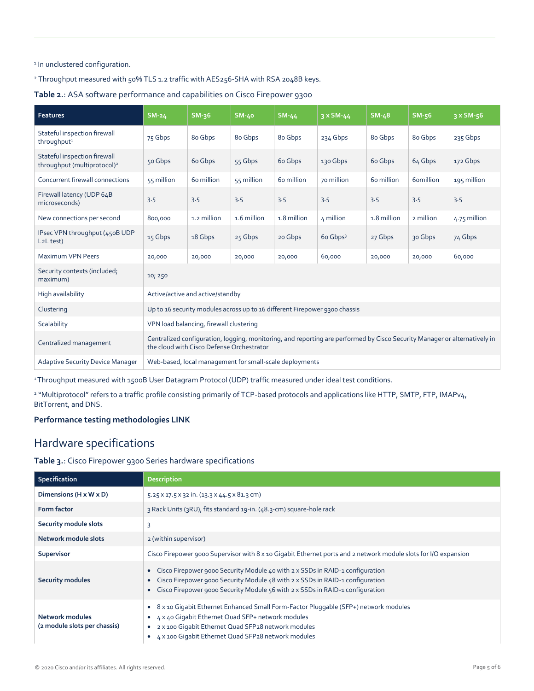#### 1 In unclustered configuration.

<sup>2</sup> Throughput measured with 50% TLS 1.2 traffic with AES256-SHA with RSA 2048B keys.

**Table 2.**: ASA software performance and capabilities on Cisco Firepower 9300

| <b>Features</b>                                                         | <b>SM-24</b>                                                                                                                                                           | $SM-36$     | <b>SM-40</b> | $SM-44$     | $3 \times SM - 44$   | $SM-48$     | $SM-56$   | $3 \times$ SM-56 |
|-------------------------------------------------------------------------|------------------------------------------------------------------------------------------------------------------------------------------------------------------------|-------------|--------------|-------------|----------------------|-------------|-----------|------------------|
| Stateful inspection firewall<br>throughput <sup>1</sup>                 | 75 Gbps                                                                                                                                                                | 80 Gbps     | 80 Gbps      | 80 Gbps     | 234 Gbps             | 80 Gbps     | 80 Gbps   | 235 Gbps         |
| Stateful inspection firewall<br>throughput (multiprotocol) <sup>2</sup> | 50 Gbps                                                                                                                                                                | 60 Gbps     | 55 Gbps      | 60 Gbps     | 130 Gbps             | 60 Gbps     | 64 Gbps   | 172 Gbps         |
| Concurrent firewall connections                                         | 55 million                                                                                                                                                             | 60 million  | 55 million   | 60 million  | 70 million           | 60 million  | 6omillion | 195 million      |
| Firewall latency (UDP 64B<br>microseconds)                              | 3.5                                                                                                                                                                    | 3.5         | 3.5          | 3.5         | 3.5                  | 3.5         | 3.5       | 3.5              |
| New connections per second                                              | 800,000                                                                                                                                                                | 1.2 million | 1.6 million  | 1.8 million | 4 million            | 1.8 million | 2 million | 4.75 million     |
| IPsec VPN throughput (450B UDP<br>L <sub>2</sub> L test)                | 15 Gbps                                                                                                                                                                | 18 Gbps     | 25 Gbps      | 20 Gbps     | 60 Gbps <sup>3</sup> | 27 Gbps     | 30 Gbps   | 74 Gbps          |
| <b>Maximum VPN Peers</b>                                                | 20,000                                                                                                                                                                 | 20,000      | 20,000       | 20,000      | 60,000               | 20,000      | 20,000    | 60,000           |
| Security contexts (included;<br>maximum)                                | 10; 250                                                                                                                                                                |             |              |             |                      |             |           |                  |
| High availability                                                       | Active/active and active/standby                                                                                                                                       |             |              |             |                      |             |           |                  |
| Clustering                                                              | Up to 16 security modules across up to 16 different Firepower 9300 chassis                                                                                             |             |              |             |                      |             |           |                  |
| Scalability                                                             | VPN load balancing, firewall clustering                                                                                                                                |             |              |             |                      |             |           |                  |
| Centralized management                                                  | Centralized configuration, logging, monitoring, and reporting are performed by Cisco Security Manager or alternatively in<br>the cloud with Cisco Defense Orchestrator |             |              |             |                      |             |           |                  |
| <b>Adaptive Security Device Manager</b>                                 | Web-based, local management for small-scale deployments                                                                                                                |             |              |             |                      |             |           |                  |

<sup>1</sup>Throughput measured with 1500B User Datagram Protocol (UDP) traffic measured under ideal test conditions.

<sup>2</sup> "Multiprotocol" refers to a traffic profile consisting primarily of TCP-based protocols and applications like HTTP, SMTP, FTP, IMAPv4, BitTorrent, and DNS.

#### **Performance testing methodologies LINK**

## Hardware specifications

**Table 3.**: Cisco Firepower 9300 Series hardware specifications

| <b>Specification</b>                                   | <b>Description</b>                                                                                                                                                                                                                                                  |
|--------------------------------------------------------|---------------------------------------------------------------------------------------------------------------------------------------------------------------------------------------------------------------------------------------------------------------------|
| Dimensions (H x W x D)                                 | 5.25 x 17.5 x 32 in. (13.3 x 44.5 x 81.3 cm)                                                                                                                                                                                                                        |
| <b>Form factor</b>                                     | 3 Rack Units (3RU), fits standard 19-in. (48.3-cm) square-hole rack                                                                                                                                                                                                 |
| Security module slots                                  | 3                                                                                                                                                                                                                                                                   |
| Network module slots                                   | 2 (within supervisor)                                                                                                                                                                                                                                               |
| Supervisor                                             | Cisco Firepower 9000 Supervisor with 8 x 10 Gigabit Ethernet ports and 2 network module slots for I/O expansion                                                                                                                                                     |
| <b>Security modules</b>                                | Cisco Firepower 9000 Security Module 40 with 2 x SSDs in RAID-1 configuration<br>Cisco Firepower 9000 Security Module 48 with 2 x SSDs in RAID-1 configuration<br>$\bullet$<br>Cisco Firepower 9000 Security Module 56 with 2 x SSDs in RAID-1 configuration        |
| <b>Network modules</b><br>(2 module slots per chassis) | 8 x 10 Gigabit Ethernet Enhanced Small Form-Factor Pluggable (SFP+) network modules<br>4 x 40 Gigabit Ethernet Quad SFP+ network modules<br>2 x 100 Gigabit Ethernet Quad SFP28 network modules<br>$\bullet$<br>4 x 100 Gigabit Ethernet Quad SFP28 network modules |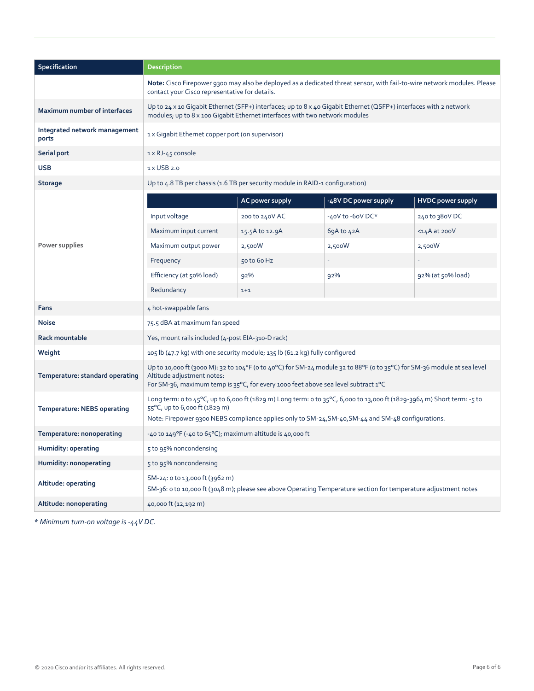| Specification                          | <b>Description</b>                                                                                                                                                                                                                                            |                                                  |                      |                          |  |  |  |
|----------------------------------------|---------------------------------------------------------------------------------------------------------------------------------------------------------------------------------------------------------------------------------------------------------------|--------------------------------------------------|----------------------|--------------------------|--|--|--|
|                                        | Note: Cisco Firepower 9300 may also be deployed as a dedicated threat sensor, with fail-to-wire network modules. Please<br>contact your Cisco representative for details.                                                                                     |                                                  |                      |                          |  |  |  |
| Maximum number of interfaces           | Up to 24 x 10 Gigabit Ethernet (SFP+) interfaces; up to 8 x 40 Gigabit Ethernet (QSFP+) interfaces with 2 network<br>modules; up to 8 x 100 Gigabit Ethernet interfaces with two network modules                                                              |                                                  |                      |                          |  |  |  |
| Integrated network management<br>ports |                                                                                                                                                                                                                                                               | 1 x Gigabit Ethernet copper port (on supervisor) |                      |                          |  |  |  |
| Serial port                            | 1 x RJ-45 console                                                                                                                                                                                                                                             |                                                  |                      |                          |  |  |  |
| <b>USB</b>                             | 1 x USB 2.0                                                                                                                                                                                                                                                   |                                                  |                      |                          |  |  |  |
| <b>Storage</b>                         | Up to 4.8 TB per chassis (1.6 TB per security module in RAID-1 configuration)                                                                                                                                                                                 |                                                  |                      |                          |  |  |  |
|                                        |                                                                                                                                                                                                                                                               | AC power supply                                  | -48V DC power supply | <b>HVDC power supply</b> |  |  |  |
|                                        | Input voltage                                                                                                                                                                                                                                                 | 200 to 240V AC                                   | -40V to -60V DC*     | 240 to 380V DC           |  |  |  |
|                                        | Maximum input current                                                                                                                                                                                                                                         | 15.5A to 12.9A                                   | 69A to 42A           | $14A$ at 200V            |  |  |  |
| Power supplies                         | Maximum output power                                                                                                                                                                                                                                          | 2,500W                                           | 2,500W               | 2,500W                   |  |  |  |
|                                        | Frequency                                                                                                                                                                                                                                                     | 50 to 60 Hz                                      |                      |                          |  |  |  |
|                                        | Efficiency (at 50% load)                                                                                                                                                                                                                                      | 92%                                              | 92%                  | 92% (at 50% load)        |  |  |  |
|                                        | Redundancy                                                                                                                                                                                                                                                    | $1+1$                                            |                      |                          |  |  |  |
| Fans                                   | 4 hot-swappable fans                                                                                                                                                                                                                                          |                                                  |                      |                          |  |  |  |
| <b>Noise</b>                           | 75.5 dBA at maximum fan speed                                                                                                                                                                                                                                 |                                                  |                      |                          |  |  |  |
| <b>Rack mountable</b>                  | Yes, mount rails included (4-post EIA-310-D rack)                                                                                                                                                                                                             |                                                  |                      |                          |  |  |  |
| Weight                                 | 105 lb (47.7 kg) with one security module; 135 lb (61.2 kg) fully configured                                                                                                                                                                                  |                                                  |                      |                          |  |  |  |
| Temperature: standard operating        | Up to 10,000 ft (3000 M): 32 to 104°F (0 to 40°C) for SM-24 module 32 to 88°F (0 to 35°C) for SM-36 module at sea level<br>Altitude adjustment notes:<br>For SM-36, maximum temp is 35°C, for every 1000 feet above sea level subtract 1°C                    |                                                  |                      |                          |  |  |  |
| Temperature: NEBS operating            | Long term: o to 45°C, up to 6,000 ft (1829 m) Long term: o to 35°C, 6,000 to 13,000 ft (1829-3964 m) Short term: -5 to<br>55°C, up to 6,000 ft (1829 m)<br>Note: Firepower 9300 NEBS compliance applies only to SM-24, SM-40, SM-44 and SM-48 configurations. |                                                  |                      |                          |  |  |  |
| Temperature: nonoperating              | $-40$ to $149^{\circ}F$ ( $-40$ to $65^{\circ}C$ ); maximum altitude is $40,000$ ft                                                                                                                                                                           |                                                  |                      |                          |  |  |  |
| Humidity: operating                    | 5 to 95% noncondensing                                                                                                                                                                                                                                        |                                                  |                      |                          |  |  |  |
| Humidity: nonoperating                 | 5 to 95% noncondensing                                                                                                                                                                                                                                        |                                                  |                      |                          |  |  |  |
| Altitude: operating                    | SM-24: 0 to 13,000 ft (3962 m)                                                                                                                                                                                                                                |                                                  |                      |                          |  |  |  |
|                                        | SM-36: o to 10,000 ft (3048 m); please see above Operating Temperature section for temperature adjustment notes                                                                                                                                               |                                                  |                      |                          |  |  |  |
| Altitude: nonoperating                 | 40,000 ft (12,192 m)                                                                                                                                                                                                                                          |                                                  |                      |                          |  |  |  |

*\* Minimum turn-on voltage is -44V DC.*